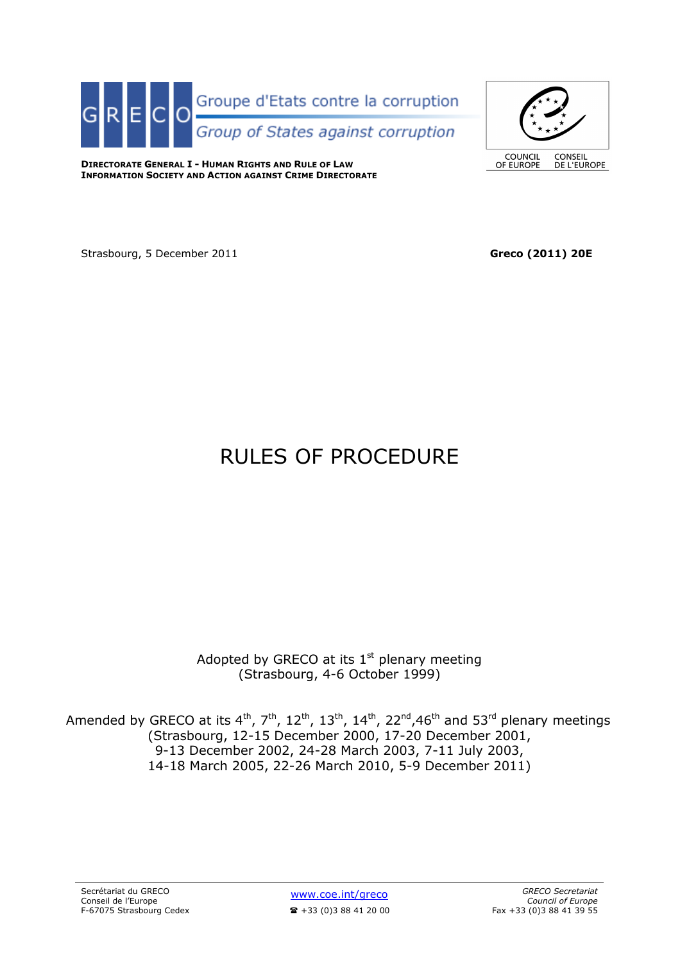



**DIRECTORATE GENERAL I - HUMAN RIGHTS AND RULE OF LAW INFORMATION SOCIETY AND ACTION AGAINST CRIME DIRECTORATE**

Strasbourg, 5 December 2011 **Greco (2011) 20E** 

# RULES OF PROCEDURE

Adopted by GRECO at its  $1<sup>st</sup>$  plenary meeting (Strasbourg, 4-6 October 1999)

Amended by GRECO at its  $4^{th}$ ,  $7^{th}$ ,  $12^{th}$ ,  $13^{th}$ ,  $14^{th}$ ,  $22^{nd}$ ,  $46^{th}$  and  $53^{rd}$  plenary meetings (Strasbourg, 12-15 December 2000, 17-20 December 2001, 9-13 December 2002, 24-28 March 2003, 7-11 July 2003, 14-18 March 2005, 22-26 March 2010, 5-9 December 2011)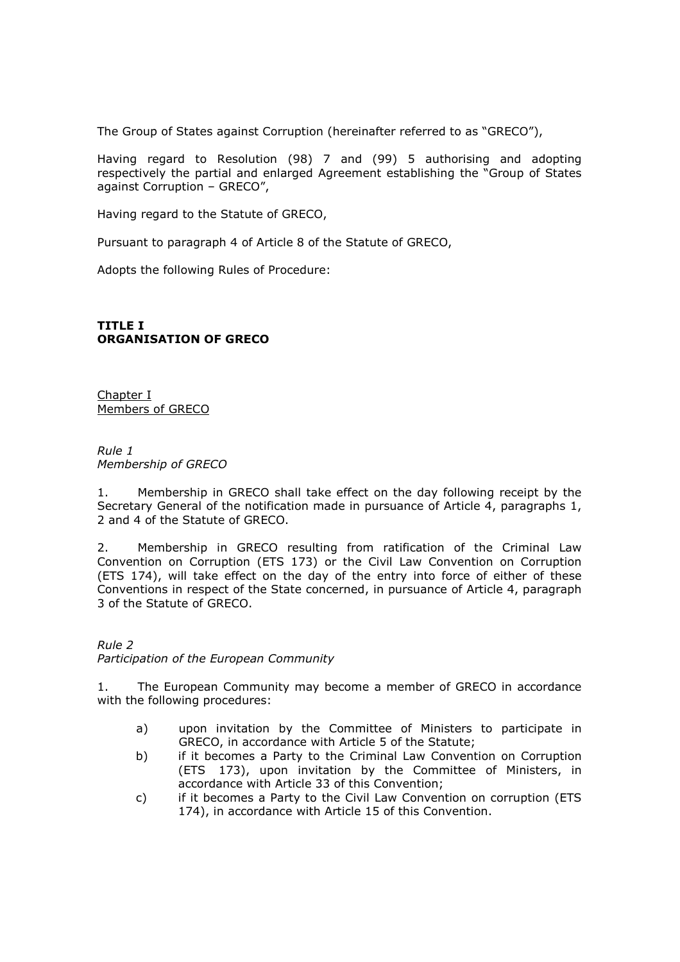The Group of States against Corruption (hereinafter referred to as "GRECO"),

Having regard to Resolution (98) 7 and (99) 5 authorising and adopting respectively the partial and enlarged Agreement establishing the "Group of States against Corruption – GRECO",

Having regard to the Statute of GRECO,

Pursuant to paragraph 4 of Article 8 of the Statute of GRECO,

Adopts the following Rules of Procedure:

## **TITLE I ORGANISATION OF GRECO**

Chapter I Members of GRECO

*Rule 1 Membership of GRECO* 

1. Membership in GRECO shall take effect on the day following receipt by the Secretary General of the notification made in pursuance of Article 4, paragraphs 1, 2 and 4 of the Statute of GRECO.

2. Membership in GRECO resulting from ratification of the Criminal Law Convention on Corruption (ETS 173) or the Civil Law Convention on Corruption (ETS 174), will take effect on the day of the entry into force of either of these Conventions in respect of the State concerned, in pursuance of Article 4, paragraph 3 of the Statute of GRECO.

*Rule 2 Participation of the European Community*

1. The European Community may become a member of GRECO in accordance with the following procedures:

- a) upon invitation by the Committee of Ministers to participate in GRECO, in accordance with Article 5 of the Statute;
- b) if it becomes a Party to the Criminal Law Convention on Corruption (ETS 173), upon invitation by the Committee of Ministers, in accordance with Article 33 of this Convention;
- c) if it becomes a Party to the Civil Law Convention on corruption (ETS 174), in accordance with Article 15 of this Convention.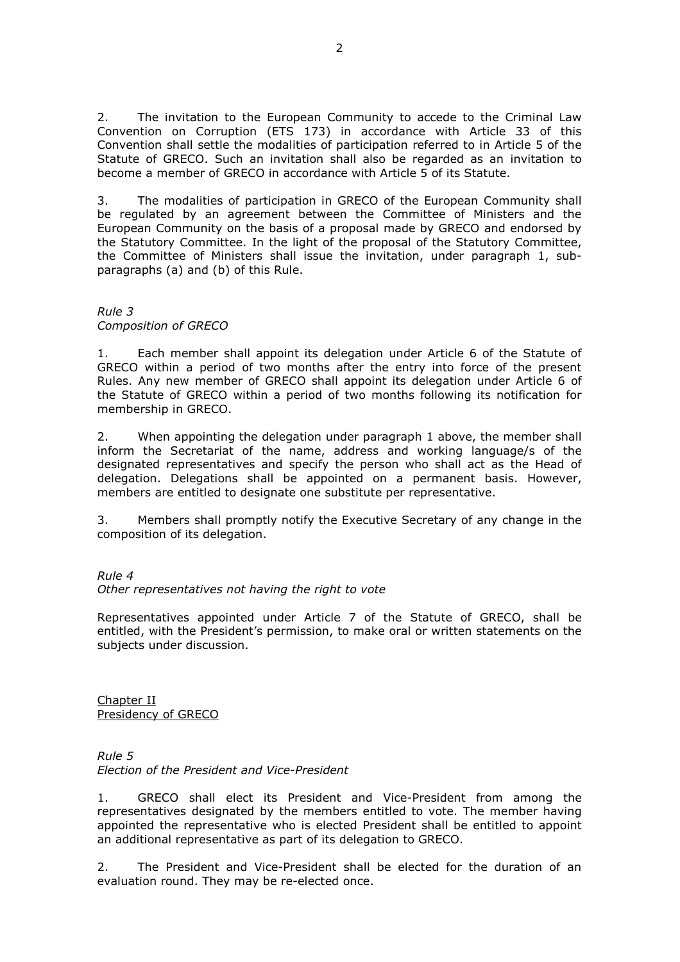2. The invitation to the European Community to accede to the Criminal Law Convention on Corruption (ETS 173) in accordance with Article 33 of this Convention shall settle the modalities of participation referred to in Article 5 of the Statute of GRECO. Such an invitation shall also be regarded as an invitation to become a member of GRECO in accordance with Article 5 of its Statute.

3. The modalities of participation in GRECO of the European Community shall be regulated by an agreement between the Committee of Ministers and the European Community on the basis of a proposal made by GRECO and endorsed by the Statutory Committee. In the light of the proposal of the Statutory Committee, the Committee of Ministers shall issue the invitation, under paragraph 1, subparagraphs (a) and (b) of this Rule.

## *Rule 3 Composition of GRECO*

1. Each member shall appoint its delegation under Article 6 of the Statute of GRECO within a period of two months after the entry into force of the present Rules. Any new member of GRECO shall appoint its delegation under Article 6 of the Statute of GRECO within a period of two months following its notification for membership in GRECO.

2. When appointing the delegation under paragraph 1 above, the member shall inform the Secretariat of the name, address and working language/s of the designated representatives and specify the person who shall act as the Head of delegation. Delegations shall be appointed on a permanent basis. However, members are entitled to designate one substitute per representative.

3. Members shall promptly notify the Executive Secretary of any change in the composition of its delegation.

## *Rule 4*

## *Other representatives not having the right to vote*

Representatives appointed under Article 7 of the Statute of GRECO, shall be entitled, with the President's permission, to make oral or written statements on the subjects under discussion.

Chapter II Presidency of GRECO

*Rule 5 Election of the President and Vice-President*

1. GRECO shall elect its President and Vice-President from among the representatives designated by the members entitled to vote. The member having appointed the representative who is elected President shall be entitled to appoint an additional representative as part of its delegation to GRECO.

2. The President and Vice-President shall be elected for the duration of an evaluation round. They may be re-elected once.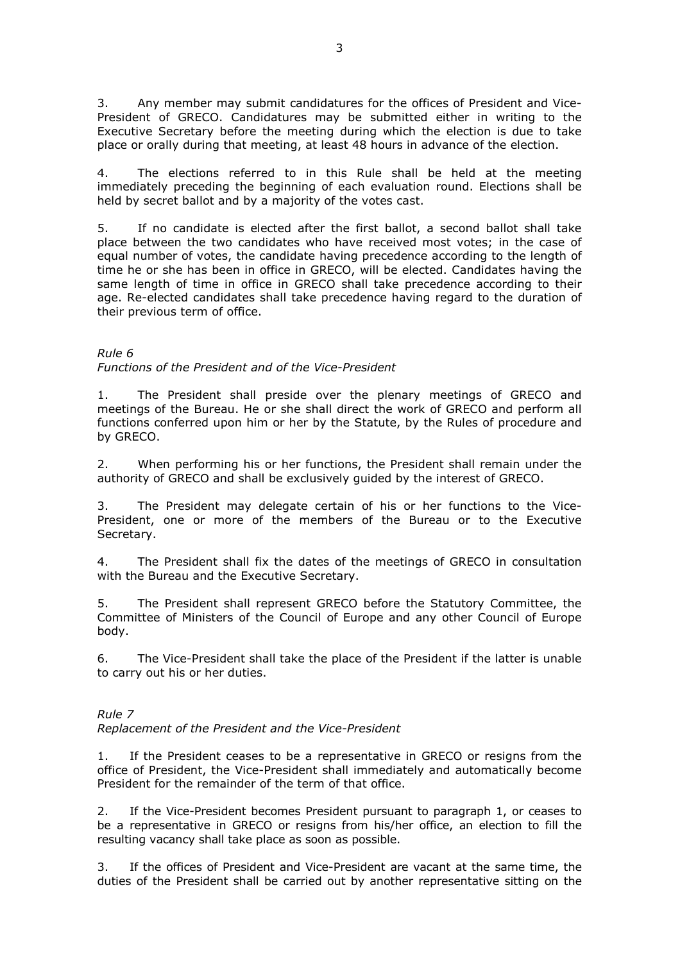3. Any member may submit candidatures for the offices of President and Vice-President of GRECO. Candidatures may be submitted either in writing to the Executive Secretary before the meeting during which the election is due to take place or orally during that meeting, at least 48 hours in advance of the election.

4. The elections referred to in this Rule shall be held at the meeting immediately preceding the beginning of each evaluation round. Elections shall be held by secret ballot and by a majority of the votes cast.

5. If no candidate is elected after the first ballot, a second ballot shall take place between the two candidates who have received most votes; in the case of equal number of votes, the candidate having precedence according to the length of time he or she has been in office in GRECO, will be elected. Candidates having the same length of time in office in GRECO shall take precedence according to their age. Re-elected candidates shall take precedence having regard to the duration of their previous term of office.

## *Rule 6*

*Functions of the President and of the Vice-President* 

1. The President shall preside over the plenary meetings of GRECO and meetings of the Bureau. He or she shall direct the work of GRECO and perform all functions conferred upon him or her by the Statute, by the Rules of procedure and by GRECO.

2. When performing his or her functions, the President shall remain under the authority of GRECO and shall be exclusively guided by the interest of GRECO.

3. The President may delegate certain of his or her functions to the Vice-President, one or more of the members of the Bureau or to the Executive Secretary.

4. The President shall fix the dates of the meetings of GRECO in consultation with the Bureau and the Executive Secretary.

5. The President shall represent GRECO before the Statutory Committee, the Committee of Ministers of the Council of Europe and any other Council of Europe body.

6. The Vice-President shall take the place of the President if the latter is unable to carry out his or her duties.

# *Rule 7*

*Replacement of the President and the Vice-President*

1. If the President ceases to be a representative in GRECO or resigns from the office of President, the Vice-President shall immediately and automatically become President for the remainder of the term of that office.

2. If the Vice-President becomes President pursuant to paragraph 1, or ceases to be a representative in GRECO or resigns from his/her office, an election to fill the resulting vacancy shall take place as soon as possible.

3. If the offices of President and Vice-President are vacant at the same time, the duties of the President shall be carried out by another representative sitting on the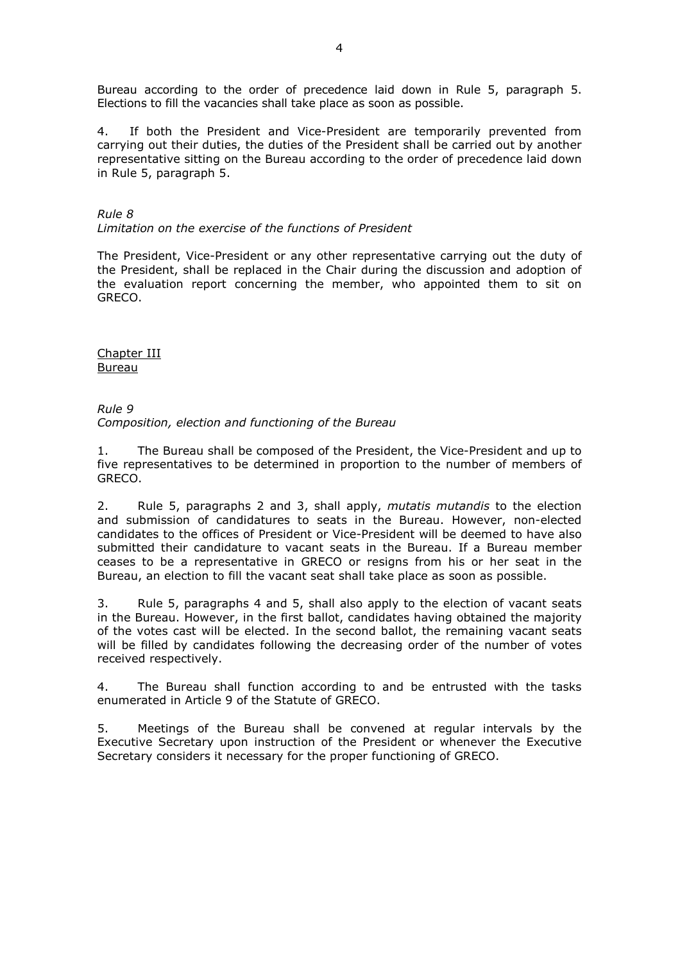Bureau according to the order of precedence laid down in Rule 5, paragraph 5. Elections to fill the vacancies shall take place as soon as possible.

4. If both the President and Vice-President are temporarily prevented from carrying out their duties, the duties of the President shall be carried out by another representative sitting on the Bureau according to the order of precedence laid down in Rule 5, paragraph 5.

# *Rule 8*

*Limitation on the exercise of the functions of President*

The President, Vice-President or any other representative carrying out the duty of the President, shall be replaced in the Chair during the discussion and adoption of the evaluation report concerning the member, who appointed them to sit on GRECO.

Chapter III Bureau

*Rule 9 Composition, election and functioning of the Bureau*

1. The Bureau shall be composed of the President, the Vice-President and up to five representatives to be determined in proportion to the number of members of GRECO.

2. Rule 5, paragraphs 2 and 3, shall apply, *mutatis mutandis* to the election and submission of candidatures to seats in the Bureau. However, non-elected candidates to the offices of President or Vice-President will be deemed to have also submitted their candidature to vacant seats in the Bureau. If a Bureau member ceases to be a representative in GRECO or resigns from his or her seat in the Bureau, an election to fill the vacant seat shall take place as soon as possible.

3. Rule 5, paragraphs 4 and 5, shall also apply to the election of vacant seats in the Bureau. However, in the first ballot, candidates having obtained the majority of the votes cast will be elected. In the second ballot, the remaining vacant seats will be filled by candidates following the decreasing order of the number of votes received respectively.

4. The Bureau shall function according to and be entrusted with the tasks enumerated in Article 9 of the Statute of GRECO.

5. Meetings of the Bureau shall be convened at regular intervals by the Executive Secretary upon instruction of the President or whenever the Executive Secretary considers it necessary for the proper functioning of GRECO.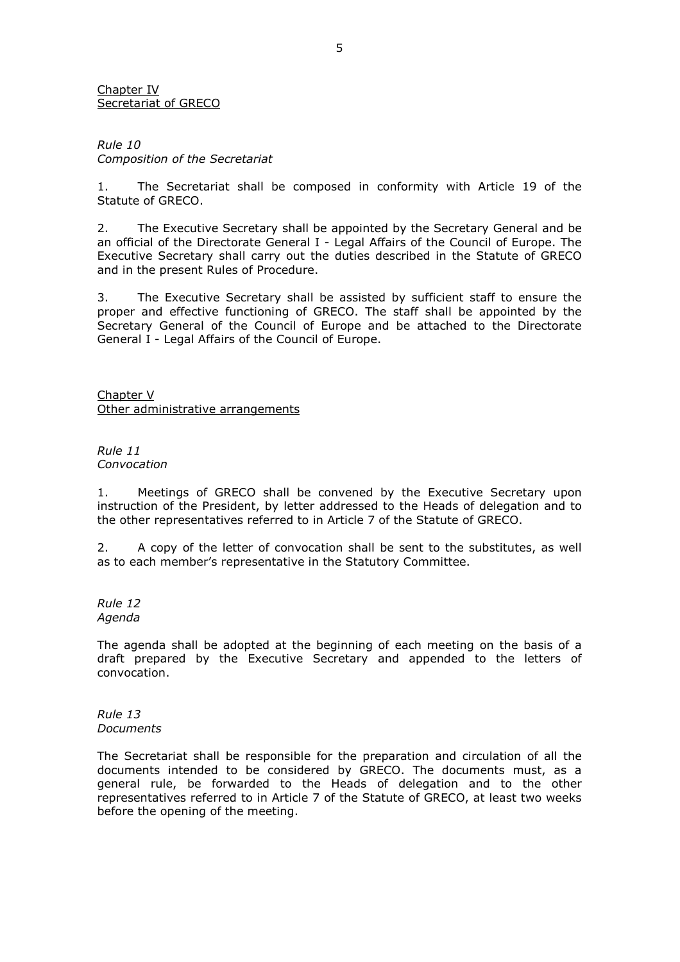Chapter IV Secretariat of GRECO

*Rule 10 Composition of the Secretariat* 

1. The Secretariat shall be composed in conformity with Article 19 of the Statute of GRECO.

2. The Executive Secretary shall be appointed by the Secretary General and be an official of the Directorate General I - Legal Affairs of the Council of Europe. The Executive Secretary shall carry out the duties described in the Statute of GRECO and in the present Rules of Procedure.

3. The Executive Secretary shall be assisted by sufficient staff to ensure the proper and effective functioning of GRECO. The staff shall be appointed by the Secretary General of the Council of Europe and be attached to the Directorate General I - Legal Affairs of the Council of Europe.

Chapter V Other administrative arrangements

*Rule 11 Convocation* 

1. Meetings of GRECO shall be convened by the Executive Secretary upon instruction of the President, by letter addressed to the Heads of delegation and to the other representatives referred to in Article 7 of the Statute of GRECO.

2. A copy of the letter of convocation shall be sent to the substitutes, as well as to each member's representative in the Statutory Committee.

*Rule 12 Agenda*

The agenda shall be adopted at the beginning of each meeting on the basis of a draft prepared by the Executive Secretary and appended to the letters of convocation.

*Rule 13 Documents* 

The Secretariat shall be responsible for the preparation and circulation of all the documents intended to be considered by GRECO. The documents must, as a general rule, be forwarded to the Heads of delegation and to the other representatives referred to in Article 7 of the Statute of GRECO, at least two weeks before the opening of the meeting.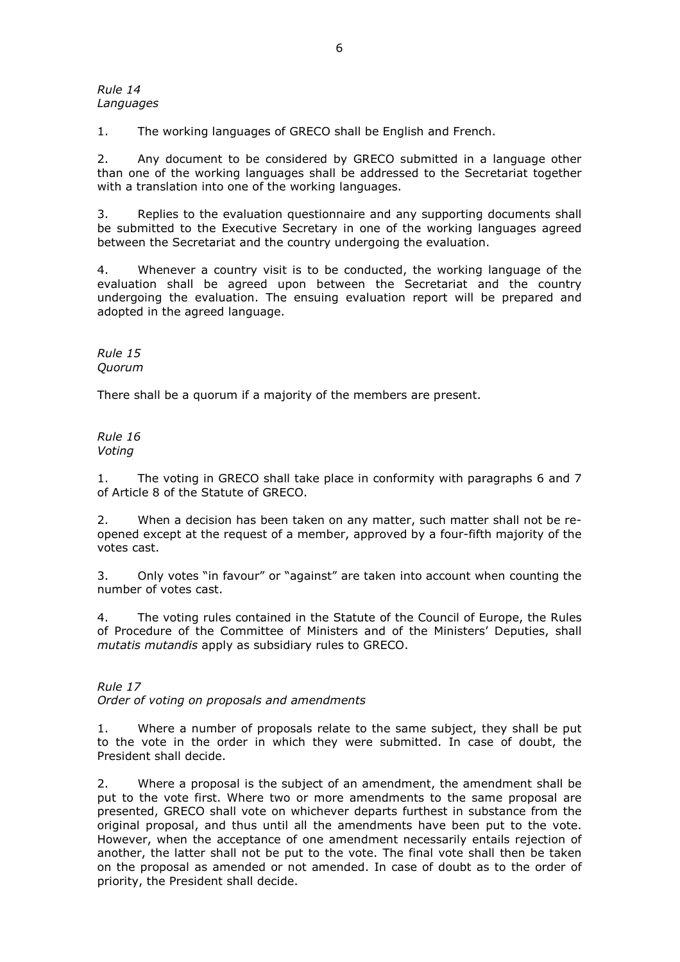#### *Rule 14 Languages*

1. The working languages of GRECO shall be English and French.

2. Any document to be considered by GRECO submitted in a language other than one of the working languages shall be addressed to the Secretariat together with a translation into one of the working languages.

3. Replies to the evaluation questionnaire and any supporting documents shall be submitted to the Executive Secretary in one of the working languages agreed between the Secretariat and the country undergoing the evaluation.

4. Whenever a country visit is to be conducted, the working language of the evaluation shall be agreed upon between the Secretariat and the country undergoing the evaluation. The ensuing evaluation report will be prepared and adopted in the agreed language.

*Rule 15 Quorum* 

There shall be a quorum if a majority of the members are present.

*Rule 16 Voting* 

1. The voting in GRECO shall take place in conformity with paragraphs 6 and 7 of Article 8 of the Statute of GRECO.

2. When a decision has been taken on any matter, such matter shall not be reopened except at the request of a member, approved by a four-fifth majority of the votes cast.

3. Only votes "in favour" or "against" are taken into account when counting the number of votes cast.

4. The voting rules contained in the Statute of the Council of Europe, the Rules of Procedure of the Committee of Ministers and of the Ministers' Deputies, shall *mutatis mutandis* apply as subsidiary rules to GRECO.

*Rule 17* 

*Order of voting on proposals and amendments*

1. Where a number of proposals relate to the same subject, they shall be put to the vote in the order in which they were submitted. In case of doubt, the President shall decide.

2. Where a proposal is the subject of an amendment, the amendment shall be put to the vote first. Where two or more amendments to the same proposal are presented, GRECO shall vote on whichever departs furthest in substance from the original proposal, and thus until all the amendments have been put to the vote. However, when the acceptance of one amendment necessarily entails rejection of another, the latter shall not be put to the vote. The final vote shall then be taken on the proposal as amended or not amended. In case of doubt as to the order of priority, the President shall decide.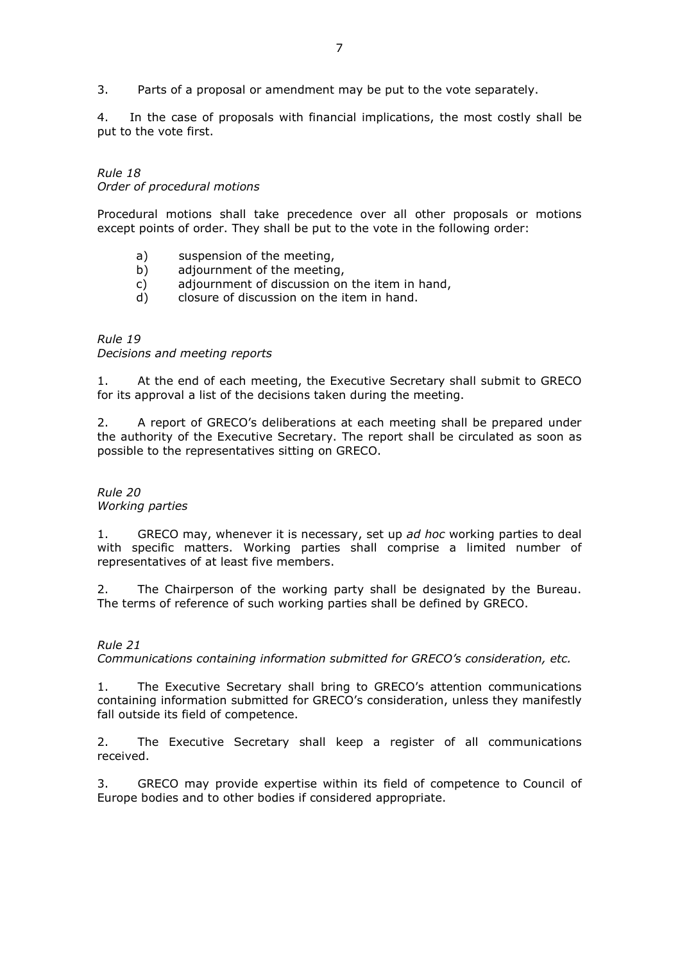3. Parts of a proposal or amendment may be put to the vote separately.

4. In the case of proposals with financial implications, the most costly shall be put to the vote first.

*Rule 18 Order of procedural motions* 

Procedural motions shall take precedence over all other proposals or motions except points of order. They shall be put to the vote in the following order:

- a) suspension of the meeting,
- b) adjournment of the meeting,
- c) adjournment of discussion on the item in hand,
- d) closure of discussion on the item in hand.

# *Rule 19*

*Decisions and meeting reports*

1. At the end of each meeting, the Executive Secretary shall submit to GRECO for its approval a list of the decisions taken during the meeting.

2. A report of GRECO's deliberations at each meeting shall be prepared under the authority of the Executive Secretary. The report shall be circulated as soon as possible to the representatives sitting on GRECO.

#### *Rule 20 Working parties*

1. GRECO may, whenever it is necessary, set up *ad hoc* working parties to deal with specific matters. Working parties shall comprise a limited number of representatives of at least five members.

2. The Chairperson of the working party shall be designated by the Bureau. The terms of reference of such working parties shall be defined by GRECO.

# *Rule 21*

*Communications containing information submitted for GRECO's consideration, etc.*

1. The Executive Secretary shall bring to GRECO's attention communications containing information submitted for GRECO's consideration, unless they manifestly fall outside its field of competence.

2. The Executive Secretary shall keep a register of all communications received.

3. GRECO may provide expertise within its field of competence to Council of Europe bodies and to other bodies if considered appropriate.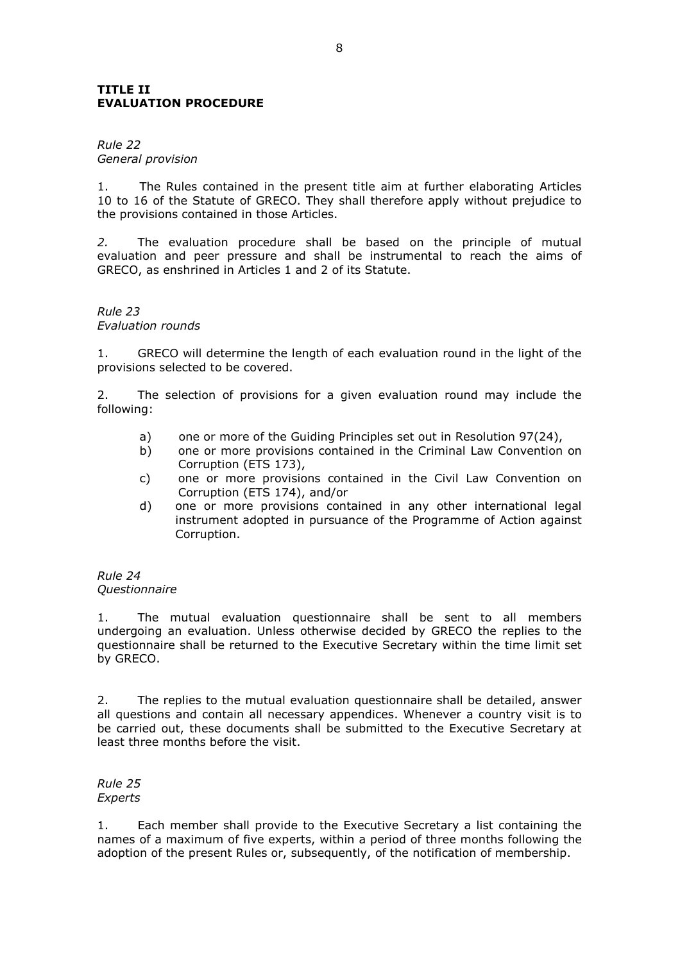## **TITLE II EVALUATION PROCEDURE**

## *Rule 22 General provision*

1. The Rules contained in the present title aim at further elaborating Articles 10 to 16 of the Statute of GRECO. They shall therefore apply without prejudice to the provisions contained in those Articles.

*2.* The evaluation procedure shall be based on the principle of mutual evaluation and peer pressure and shall be instrumental to reach the aims of GRECO, as enshrined in Articles 1 and 2 of its Statute.

## *Rule 23 Evaluation rounds*

1. GRECO will determine the length of each evaluation round in the light of the provisions selected to be covered.

2. The selection of provisions for a given evaluation round may include the following:

- a) one or more of the Guiding Principles set out in Resolution 97(24),
- b) one or more provisions contained in the Criminal Law Convention on Corruption (ETS 173),
- c) one or more provisions contained in the Civil Law Convention on Corruption (ETS 174), and/or
- d) one or more provisions contained in any other international legal instrument adopted in pursuance of the Programme of Action against Corruption.

#### *Rule 24 Questionnaire*

1. The mutual evaluation questionnaire shall be sent to all members undergoing an evaluation. Unless otherwise decided by GRECO the replies to the questionnaire shall be returned to the Executive Secretary within the time limit set by GRECO.

2. The replies to the mutual evaluation questionnaire shall be detailed, answer all questions and contain all necessary appendices. Whenever a country visit is to be carried out, these documents shall be submitted to the Executive Secretary at least three months before the visit.

#### *Rule 25 Experts*

1. Each member shall provide to the Executive Secretary a list containing the names of a maximum of five experts, within a period of three months following the adoption of the present Rules or, subsequently, of the notification of membership.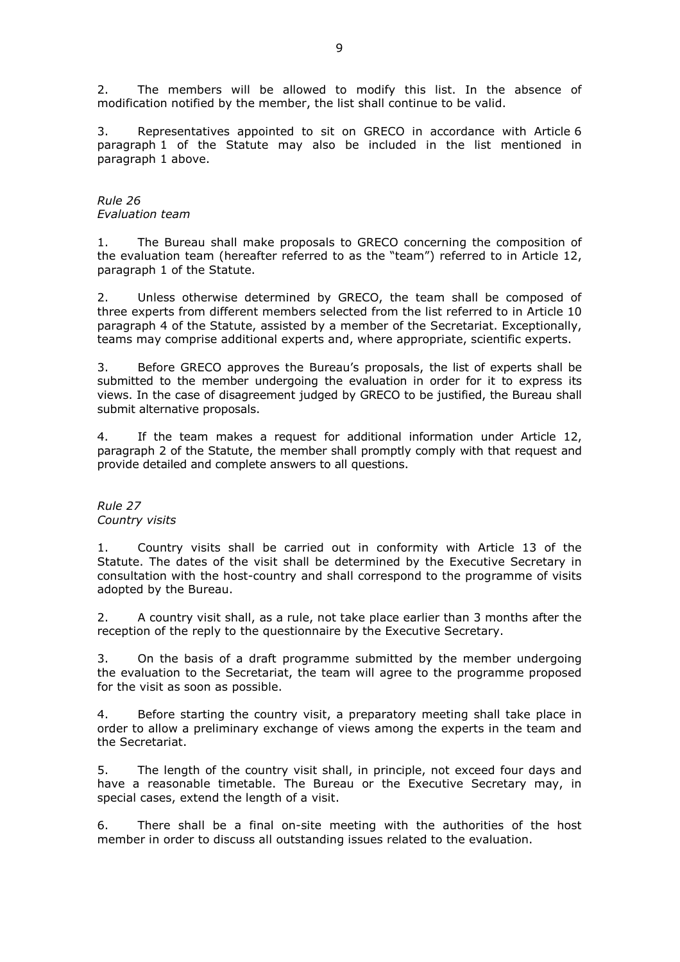2. The members will be allowed to modify this list. In the absence of modification notified by the member, the list shall continue to be valid.

3. Representatives appointed to sit on GRECO in accordance with Article 6 paragraph 1 of the Statute may also be included in the list mentioned in paragraph 1 above.

## *Rule 26 Evaluation team*

1. The Bureau shall make proposals to GRECO concerning the composition of the evaluation team (hereafter referred to as the "team") referred to in Article 12, paragraph 1 of the Statute.

2. Unless otherwise determined by GRECO, the team shall be composed of three experts from different members selected from the list referred to in Article 10 paragraph 4 of the Statute, assisted by a member of the Secretariat. Exceptionally, teams may comprise additional experts and, where appropriate, scientific experts.

3. Before GRECO approves the Bureau's proposals, the list of experts shall be submitted to the member undergoing the evaluation in order for it to express its views. In the case of disagreement judged by GRECO to be justified, the Bureau shall submit alternative proposals.

4. If the team makes a request for additional information under Article 12, paragraph 2 of the Statute, the member shall promptly comply with that request and provide detailed and complete answers to all questions.

## *Rule 27 Country visits*

1. Country visits shall be carried out in conformity with Article 13 of the Statute. The dates of the visit shall be determined by the Executive Secretary in consultation with the host-country and shall correspond to the programme of visits adopted by the Bureau.

2. A country visit shall, as a rule, not take place earlier than 3 months after the reception of the reply to the questionnaire by the Executive Secretary.

3. On the basis of a draft programme submitted by the member undergoing the evaluation to the Secretariat, the team will agree to the programme proposed for the visit as soon as possible.

4. Before starting the country visit, a preparatory meeting shall take place in order to allow a preliminary exchange of views among the experts in the team and the Secretariat.

5. The length of the country visit shall, in principle, not exceed four days and have a reasonable timetable. The Bureau or the Executive Secretary may, in special cases, extend the length of a visit.

6. There shall be a final on-site meeting with the authorities of the host member in order to discuss all outstanding issues related to the evaluation.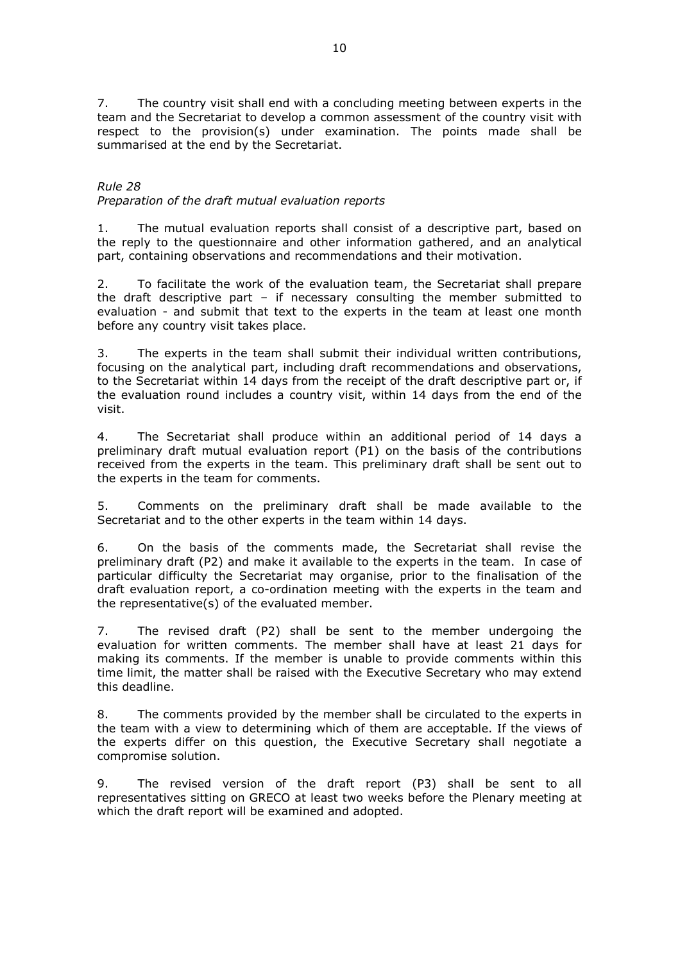7. The country visit shall end with a concluding meeting between experts in the team and the Secretariat to develop a common assessment of the country visit with respect to the provision(s) under examination. The points made shall be summarised at the end by the Secretariat.

*Rule 28 Preparation of the draft mutual evaluation reports*

1. The mutual evaluation reports shall consist of a descriptive part, based on the reply to the questionnaire and other information gathered, and an analytical part, containing observations and recommendations and their motivation.

2. To facilitate the work of the evaluation team, the Secretariat shall prepare the draft descriptive part – if necessary consulting the member submitted to evaluation - and submit that text to the experts in the team at least one month before any country visit takes place.

3. The experts in the team shall submit their individual written contributions, focusing on the analytical part, including draft recommendations and observations, to the Secretariat within 14 days from the receipt of the draft descriptive part or, if the evaluation round includes a country visit, within 14 days from the end of the visit.

4. The Secretariat shall produce within an additional period of 14 days a preliminary draft mutual evaluation report (P1) on the basis of the contributions received from the experts in the team. This preliminary draft shall be sent out to the experts in the team for comments.

5. Comments on the preliminary draft shall be made available to the Secretariat and to the other experts in the team within 14 days.

6. On the basis of the comments made, the Secretariat shall revise the preliminary draft (P2) and make it available to the experts in the team. In case of particular difficulty the Secretariat may organise, prior to the finalisation of the draft evaluation report, a co-ordination meeting with the experts in the team and the representative(s) of the evaluated member.

7. The revised draft (P2) shall be sent to the member undergoing the evaluation for written comments. The member shall have at least 21 days for making its comments. If the member is unable to provide comments within this time limit, the matter shall be raised with the Executive Secretary who may extend this deadline.

8. The comments provided by the member shall be circulated to the experts in the team with a view to determining which of them are acceptable. If the views of the experts differ on this question, the Executive Secretary shall negotiate a compromise solution.

9. The revised version of the draft report (P3) shall be sent to all representatives sitting on GRECO at least two weeks before the Plenary meeting at which the draft report will be examined and adopted.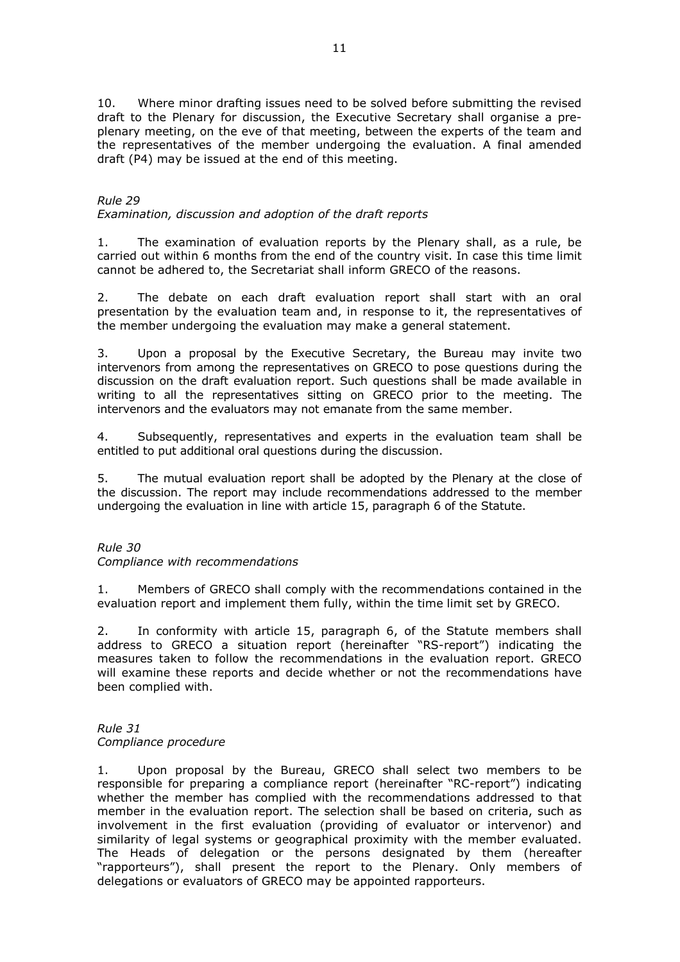10. Where minor drafting issues need to be solved before submitting the revised draft to the Plenary for discussion, the Executive Secretary shall organise a preplenary meeting, on the eve of that meeting, between the experts of the team and the representatives of the member undergoing the evaluation. A final amended draft (P4) may be issued at the end of this meeting.

# *Rule 29*

# *Examination, discussion and adoption of the draft reports*

1. The examination of evaluation reports by the Plenary shall, as a rule, be carried out within 6 months from the end of the country visit. In case this time limit cannot be adhered to, the Secretariat shall inform GRECO of the reasons.

2. The debate on each draft evaluation report shall start with an oral presentation by the evaluation team and, in response to it, the representatives of the member undergoing the evaluation may make a general statement.

3. Upon a proposal by the Executive Secretary, the Bureau may invite two intervenors from among the representatives on GRECO to pose questions during the discussion on the draft evaluation report. Such questions shall be made available in writing to all the representatives sitting on GRECO prior to the meeting. The intervenors and the evaluators may not emanate from the same member.

4. Subsequently, representatives and experts in the evaluation team shall be entitled to put additional oral questions during the discussion.

5. The mutual evaluation report shall be adopted by the Plenary at the close of the discussion. The report may include recommendations addressed to the member undergoing the evaluation in line with article 15, paragraph 6 of the Statute.

*Rule 30* 

## *Compliance with recommendations*

1. Members of GRECO shall comply with the recommendations contained in the evaluation report and implement them fully, within the time limit set by GRECO.

2. In conformity with article 15, paragraph 6, of the Statute members shall address to GRECO a situation report (hereinafter "RS-report") indicating the measures taken to follow the recommendations in the evaluation report. GRECO will examine these reports and decide whether or not the recommendations have been complied with.

## *Rule 31 Compliance procedure*

1. Upon proposal by the Bureau, GRECO shall select two members to be responsible for preparing a compliance report (hereinafter "RC-report") indicating whether the member has complied with the recommendations addressed to that member in the evaluation report. The selection shall be based on criteria, such as involvement in the first evaluation (providing of evaluator or intervenor) and similarity of legal systems or geographical proximity with the member evaluated. The Heads of delegation or the persons designated by them (hereafter "rapporteurs"), shall present the report to the Plenary. Only members of delegations or evaluators of GRECO may be appointed rapporteurs.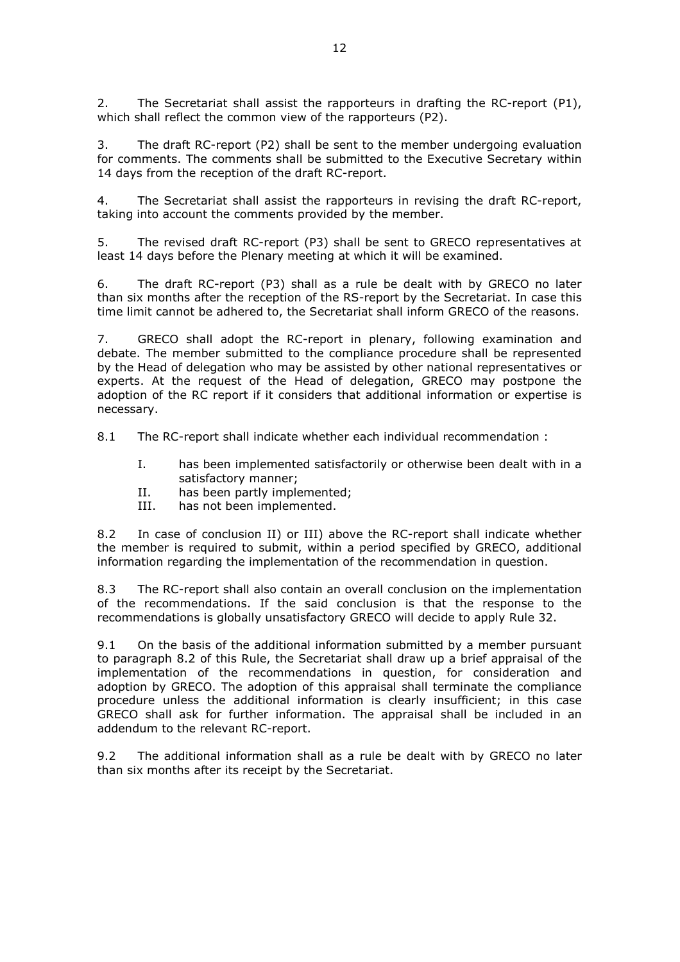2. The Secretariat shall assist the rapporteurs in drafting the RC-report  $(P1)$ , which shall reflect the common view of the rapporteurs (P2).

3. The draft RC-report (P2) shall be sent to the member undergoing evaluation for comments. The comments shall be submitted to the Executive Secretary within 14 days from the reception of the draft RC-report.

4. The Secretariat shall assist the rapporteurs in revising the draft RC-report, taking into account the comments provided by the member.

5. The revised draft RC-report (P3) shall be sent to GRECO representatives at least 14 days before the Plenary meeting at which it will be examined.

6. The draft RC-report (P3) shall as a rule be dealt with by GRECO no later than six months after the reception of the RS-report by the Secretariat. In case this time limit cannot be adhered to, the Secretariat shall inform GRECO of the reasons.

7. GRECO shall adopt the RC-report in plenary, following examination and debate. The member submitted to the compliance procedure shall be represented by the Head of delegation who may be assisted by other national representatives or experts. At the request of the Head of delegation, GRECO may postpone the adoption of the RC report if it considers that additional information or expertise is necessary.

8.1 The RC-report shall indicate whether each individual recommendation :

- I. has been implemented satisfactorily or otherwise been dealt with in a satisfactory manner;
- II. has been partly implemented;
- III. has not been implemented.

8.2 In case of conclusion II) or III) above the RC-report shall indicate whether the member is required to submit, within a period specified by GRECO, additional information regarding the implementation of the recommendation in question.

8.3 The RC-report shall also contain an overall conclusion on the implementation of the recommendations. If the said conclusion is that the response to the recommendations is globally unsatisfactory GRECO will decide to apply Rule 32.

9.1 On the basis of the additional information submitted by a member pursuant to paragraph 8.2 of this Rule, the Secretariat shall draw up a brief appraisal of the implementation of the recommendations in question, for consideration and adoption by GRECO. The adoption of this appraisal shall terminate the compliance procedure unless the additional information is clearly insufficient; in this case GRECO shall ask for further information. The appraisal shall be included in an addendum to the relevant RC-report.

9.2 The additional information shall as a rule be dealt with by GRECO no later than six months after its receipt by the Secretariat.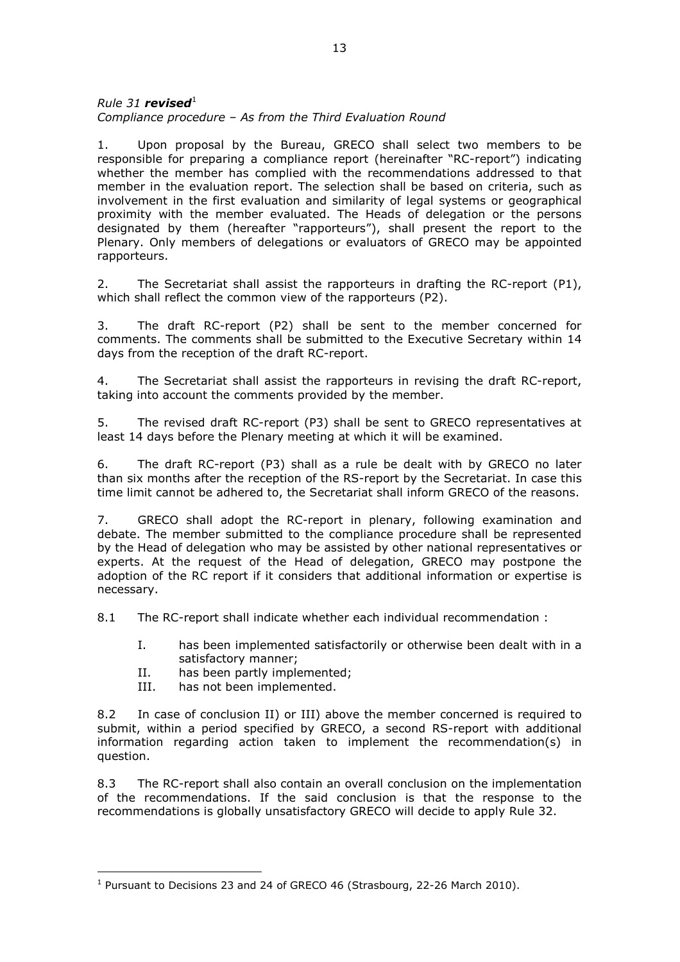## $Rule 31$  *revised*<sup>1</sup> *Compliance procedure – As from the Third Evaluation Round*

1. Upon proposal by the Bureau, GRECO shall select two members to be responsible for preparing a compliance report (hereinafter "RC-report") indicating whether the member has complied with the recommendations addressed to that member in the evaluation report. The selection shall be based on criteria, such as involvement in the first evaluation and similarity of legal systems or geographical proximity with the member evaluated. The Heads of delegation or the persons designated by them (hereafter "rapporteurs"), shall present the report to the Plenary. Only members of delegations or evaluators of GRECO may be appointed rapporteurs.

2. The Secretariat shall assist the rapporteurs in drafting the RC-report  $(P1)$ , which shall reflect the common view of the rapporteurs (P2).

3. The draft RC-report (P2) shall be sent to the member concerned for comments. The comments shall be submitted to the Executive Secretary within 14 days from the reception of the draft RC-report.

4. The Secretariat shall assist the rapporteurs in revising the draft RC-report, taking into account the comments provided by the member.

5. The revised draft RC-report (P3) shall be sent to GRECO representatives at least 14 days before the Plenary meeting at which it will be examined.

6. The draft RC-report (P3) shall as a rule be dealt with by GRECO no later than six months after the reception of the RS-report by the Secretariat. In case this time limit cannot be adhered to, the Secretariat shall inform GRECO of the reasons.

7. GRECO shall adopt the RC-report in plenary, following examination and debate. The member submitted to the compliance procedure shall be represented by the Head of delegation who may be assisted by other national representatives or experts. At the request of the Head of delegation, GRECO may postpone the adoption of the RC report if it considers that additional information or expertise is necessary.

8.1 The RC-report shall indicate whether each individual recommendation :

- I. has been implemented satisfactorily or otherwise been dealt with in a satisfactory manner;
- II. has been partly implemented;
- III. has not been implemented.

 $\overline{a}$ 

8.2 In case of conclusion II) or III) above the member concerned is required to submit, within a period specified by GRECO, a second RS-report with additional information regarding action taken to implement the recommendation(s) in question.

8.3 The RC-report shall also contain an overall conclusion on the implementation of the recommendations. If the said conclusion is that the response to the recommendations is globally unsatisfactory GRECO will decide to apply Rule 32.

<sup>&</sup>lt;sup>1</sup> Pursuant to Decisions 23 and 24 of GRECO 46 (Strasbourg, 22-26 March 2010).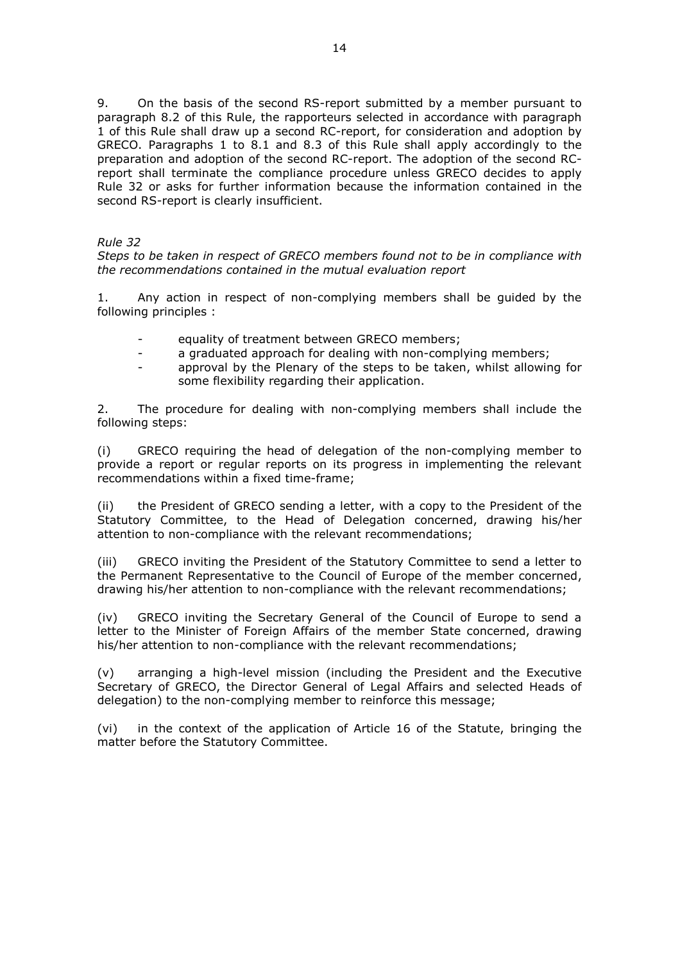9. On the basis of the second RS-report submitted by a member pursuant to paragraph 8.2 of this Rule, the rapporteurs selected in accordance with paragraph 1 of this Rule shall draw up a second RC-report, for consideration and adoption by GRECO. Paragraphs 1 to 8.1 and 8.3 of this Rule shall apply accordingly to the preparation and adoption of the second RC-report. The adoption of the second RCreport shall terminate the compliance procedure unless GRECO decides to apply Rule 32 or asks for further information because the information contained in the second RS-report is clearly insufficient.

## *Rule 32*

*Steps to be taken in respect of GRECO members found not to be in compliance with the recommendations contained in the mutual evaluation report*

1. Any action in respect of non-complying members shall be guided by the following principles :

- equality of treatment between GRECO members;
- a graduated approach for dealing with non-complying members;
- approval by the Plenary of the steps to be taken, whilst allowing for some flexibility regarding their application.

2. The procedure for dealing with non-complying members shall include the following steps:

(i) GRECO requiring the head of delegation of the non-complying member to provide a report or regular reports on its progress in implementing the relevant recommendations within a fixed time-frame;

(ii) the President of GRECO sending a letter, with a copy to the President of the Statutory Committee, to the Head of Delegation concerned, drawing his/her attention to non-compliance with the relevant recommendations;

(iii) GRECO inviting the President of the Statutory Committee to send a letter to the Permanent Representative to the Council of Europe of the member concerned, drawing his/her attention to non-compliance with the relevant recommendations;

(iv) GRECO inviting the Secretary General of the Council of Europe to send a letter to the Minister of Foreign Affairs of the member State concerned, drawing his/her attention to non-compliance with the relevant recommendations;

(v) arranging a high-level mission (including the President and the Executive Secretary of GRECO, the Director General of Legal Affairs and selected Heads of delegation) to the non-complying member to reinforce this message;

(vi) in the context of the application of Article 16 of the Statute, bringing the matter before the Statutory Committee.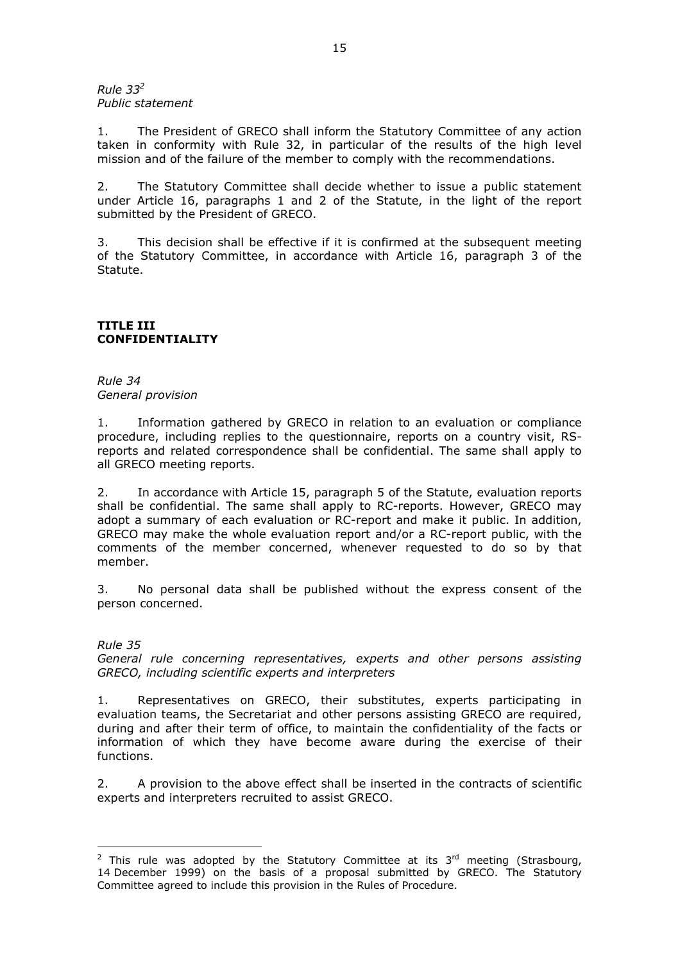*Rule 33<sup>2</sup> Public statement* 

1. The President of GRECO shall inform the Statutory Committee of any action taken in conformity with Rule 32, in particular of the results of the high level mission and of the failure of the member to comply with the recommendations.

2. The Statutory Committee shall decide whether to issue a public statement under Article 16, paragraphs 1 and 2 of the Statute, in the light of the report submitted by the President of GRECO.

3. This decision shall be effective if it is confirmed at the subsequent meeting of the Statutory Committee, in accordance with Article 16, paragraph 3 of the Statute.

## **TITLE III CONFIDENTIALITY**

*Rule 34 General provision*

1. Information gathered by GRECO in relation to an evaluation or compliance procedure, including replies to the questionnaire, reports on a country visit, RSreports and related correspondence shall be confidential. The same shall apply to all GRECO meeting reports.

2. In accordance with Article 15, paragraph 5 of the Statute, evaluation reports shall be confidential. The same shall apply to RC-reports. However, GRECO may adopt a summary of each evaluation or RC-report and make it public. In addition, GRECO may make the whole evaluation report and/or a RC-report public, with the comments of the member concerned, whenever requested to do so by that member.

3. No personal data shall be published without the express consent of the person concerned.

## *Rule 35*

 $\overline{a}$ 

*General rule concerning representatives, experts and other persons assisting GRECO, including scientific experts and interpreters*

1. Representatives on GRECO, their substitutes, experts participating in evaluation teams, the Secretariat and other persons assisting GRECO are required, during and after their term of office, to maintain the confidentiality of the facts or information of which they have become aware during the exercise of their functions.

2. A provision to the above effect shall be inserted in the contracts of scientific experts and interpreters recruited to assist GRECO.

<sup>&</sup>lt;sup>2</sup> This rule was adopted by the Statutory Committee at its  $3<sup>rd</sup>$  meeting (Strasbourg, 14 December 1999) on the basis of a proposal submitted by GRECO. The Statutory Committee agreed to include this provision in the Rules of Procedure.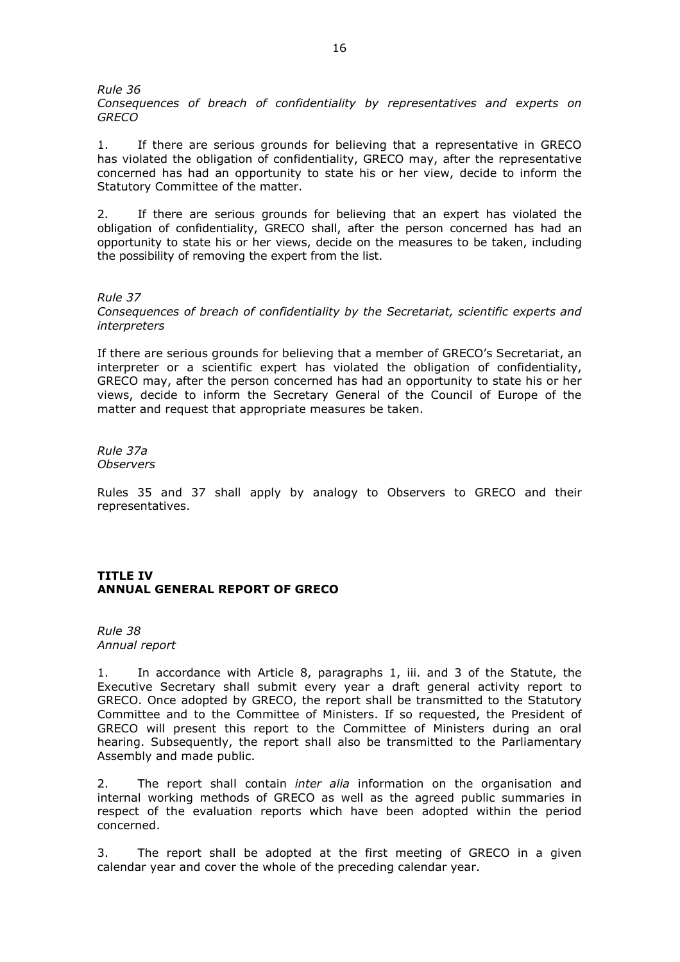*Rule 36* 

*Consequences of breach of confidentiality by representatives and experts on GRECO*

1. If there are serious grounds for believing that a representative in GRECO has violated the obligation of confidentiality, GRECO may, after the representative concerned has had an opportunity to state his or her view, decide to inform the Statutory Committee of the matter.

2. If there are serious grounds for believing that an expert has violated the obligation of confidentiality, GRECO shall, after the person concerned has had an opportunity to state his or her views, decide on the measures to be taken, including the possibility of removing the expert from the list.

*Rule 37 Consequences of breach of confidentiality by the Secretariat, scientific experts and interpreters* 

If there are serious grounds for believing that a member of GRECO's Secretariat, an interpreter or a scientific expert has violated the obligation of confidentiality, GRECO may, after the person concerned has had an opportunity to state his or her views, decide to inform the Secretary General of the Council of Europe of the matter and request that appropriate measures be taken.

*Rule 37a Observers* 

Rules 35 and 37 shall apply by analogy to Observers to GRECO and their representatives.

## **TITLE IV ANNUAL GENERAL REPORT OF GRECO**

*Rule 38 Annual report*

1. In accordance with Article 8, paragraphs 1, iii. and 3 of the Statute, the Executive Secretary shall submit every year a draft general activity report to GRECO. Once adopted by GRECO, the report shall be transmitted to the Statutory Committee and to the Committee of Ministers. If so requested, the President of GRECO will present this report to the Committee of Ministers during an oral hearing. Subsequently, the report shall also be transmitted to the Parliamentary Assembly and made public.

2. The report shall contain *inter alia* information on the organisation and internal working methods of GRECO as well as the agreed public summaries in respect of the evaluation reports which have been adopted within the period concerned.

3. The report shall be adopted at the first meeting of GRECO in a given calendar year and cover the whole of the preceding calendar year.